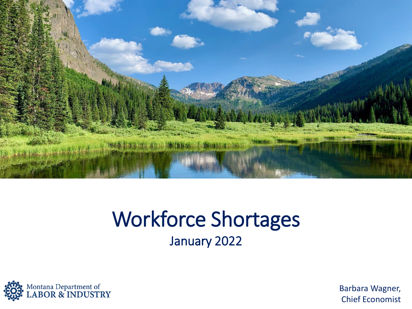

#### Workforce Shortages January 2022



Barbara Wagner, Chief Economist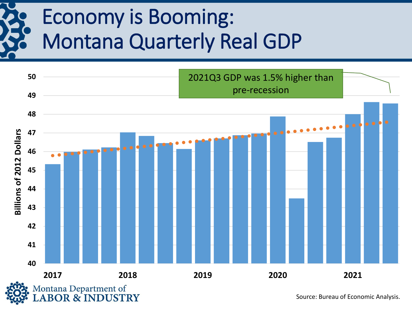### Economy is Booming: Montana Quarterly Real GDP



Source: Bureau of Economic Analysis.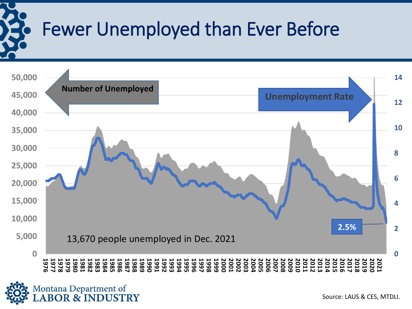

### Fewer Unemployed than Ever Before



Source: LAUS & CES, MTDLI.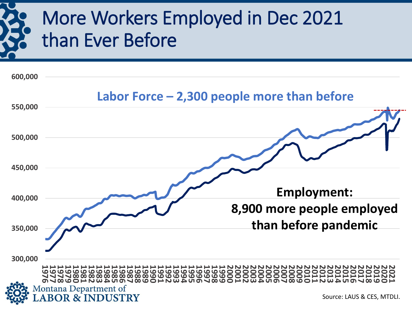### More Workers Employed in Dec 2021 than Ever Before

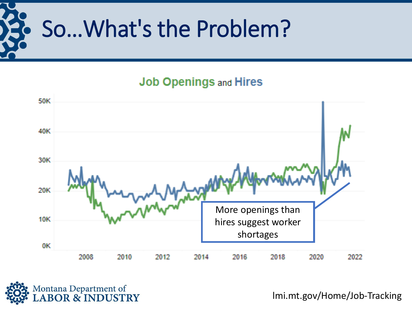

#### **Job Openings and Hires**





lmi.mt.gov/Home/Job-Tracking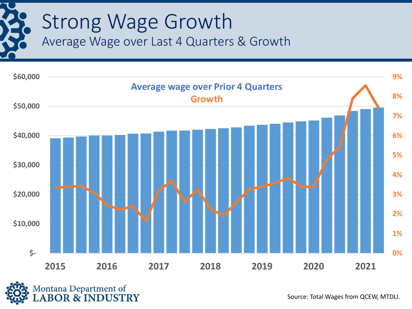## Strong Wage Growth Average Wage over Last 4 Quarters & Growth





Source: Total Wages from QCEW, MTDLI.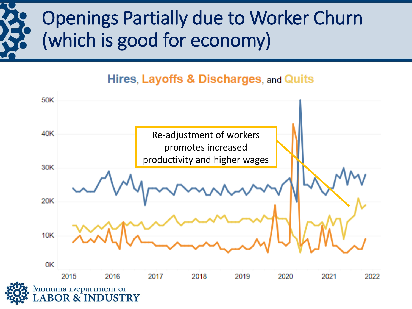### Openings Partially due to Worker Churn (which is good for economy)

#### Hires, Layoffs & Discharges, and Quits

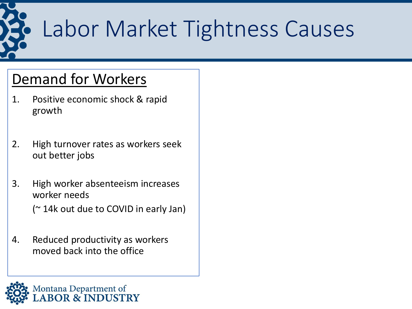

## Labor Market Tightness Causes

#### Demand for Workers

- 1. Positive economic shock & rapid growth
- 2. High turnover rates as workers seek out better jobs
- 3. High worker absenteeism increases worker needs (~ 14k out due to COVID in early Jan)
- 4. Reduced productivity as workers moved back into the office

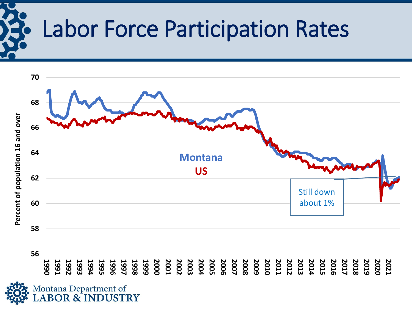

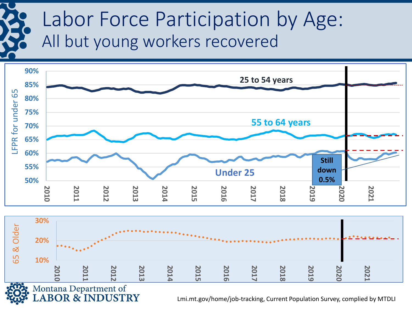### Labor Force Participation by Age: All but young workers recovered





Lmi.mt.gov/home/job-tracking, Current Population Survey, complied by MTDLI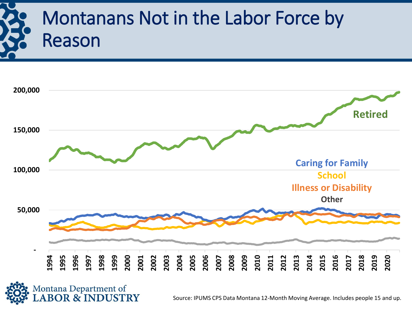



Source: IPUMS CPS Data Montana 12-Month Moving Average. Includes people 15 and up.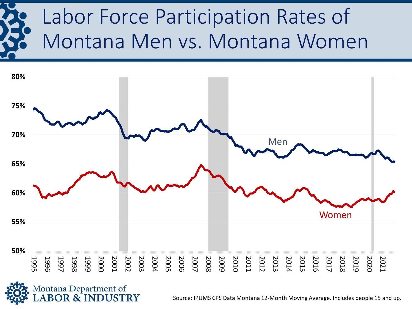# Labor Force Participation Rates of Montana Men vs. Montana Women





Source: IPUMS CPS Data Montana 12-Month Moving Average. Includes people 15 and up.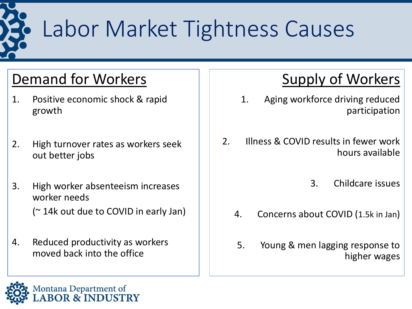

# Labor Market Tightness Causes

#### Demand for Workers

- 1. Positive economic shock & rapid growth
- 2. High turnover rates as workers seek out better jobs
- 3. High worker absenteeism increases worker needs (~ 14k out due to COVID in early Jan)
- 4. Reduced productivity as workers moved back into the office

#### Supply of Workers

- 1. Aging workforce driving reduced participation
- 2. Illness & COVID results in fewer work hours available
	- 3. Childcare issues
	- 4. Concerns about COVID (1.5k in Jan)
	- 5. Young & men lagging response to higher wages

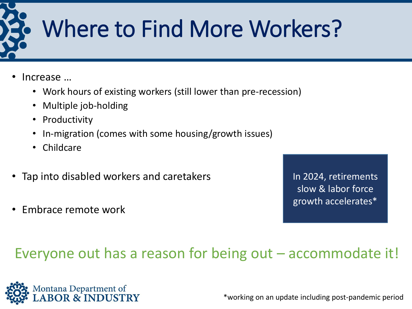

- Increase …
	- Work hours of existing workers (still lower than pre-recession)
	- Multiple job-holding
	- Productivity
	- In-migration (comes with some housing/growth issues)
	- Childcare
- Tap into disabled workers and caretakers
- Embrace remote work

In 2024, retirements slow & labor force growth accelerates\*

#### Everyone out has a reason for being out – accommodate it!



\*working on an update including post-pandemic period